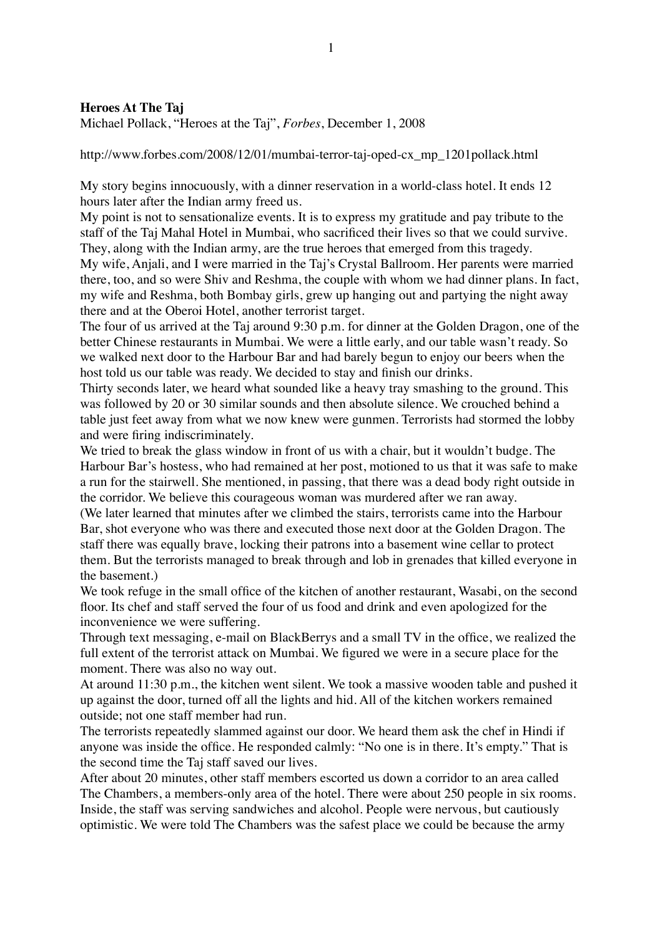## **Heroes At The Taj**

Michael Pollack, "Heroes at the Taj", *Forbes*, December 1, 2008

http://www.forbes.com/2008/12/01/mumbai-terror-taj-oped-cx\_mp\_1201pollack.html

My story begins innocuously, with a dinner reservation in a world-class hotel. It ends 12 hours later after the Indian army freed us.

My point is not to sensationalize events. It is to express my gratitude and pay tribute to the staff of the Taj Mahal Hotel in Mumbai, who sacrificed their lives so that we could survive. They, along with the Indian army, are the true heroes that emerged from this tragedy. My wife, Anjali, and I were married in the Taj's Crystal Ballroom. Her parents were married there, too, and so were Shiv and Reshma, the couple with whom we had dinner plans. In fact, my wife and Reshma, both Bombay girls, grew up hanging out and partying the night away there and at the Oberoi Hotel, another terrorist target.

The four of us arrived at the Taj around 9:30 p.m. for dinner at the Golden Dragon, one of the better Chinese restaurants in Mumbai. We were a little early, and our table wasn't ready. So we walked next door to the Harbour Bar and had barely begun to enjoy our beers when the host told us our table was ready. We decided to stay and finish our drinks.

Thirty seconds later, we heard what sounded like a heavy tray smashing to the ground. This was followed by 20 or 30 similar sounds and then absolute silence. We crouched behind a table just feet away from what we now knew were gunmen. Terrorists had stormed the lobby and were firing indiscriminately.

We tried to break the glass window in front of us with a chair, but it wouldn't budge. The Harbour Bar's hostess, who had remained at her post, motioned to us that it was safe to make a run for the stairwell. She mentioned, in passing, that there was a dead body right outside in the corridor. We believe this courageous woman was murdered after we ran away.

(We later learned that minutes after we climbed the stairs, terrorists came into the Harbour Bar, shot everyone who was there and executed those next door at the Golden Dragon. The staff there was equally brave, locking their patrons into a basement wine cellar to protect them. But the terrorists managed to break through and lob in grenades that killed everyone in the basement.)

We took refuge in the small office of the kitchen of another restaurant, Wasabi, on the second floor. Its chef and staff served the four of us food and drink and even apologized for the inconvenience we were suffering.

Through text messaging, e-mail on BlackBerrys and a small TV in the office, we realized the full extent of the terrorist attack on Mumbai. We figured we were in a secure place for the moment. There was also no way out.

At around 11:30 p.m., the kitchen went silent. We took a massive wooden table and pushed it up against the door, turned off all the lights and hid. All of the kitchen workers remained outside; not one staff member had run.

The terrorists repeatedly slammed against our door. We heard them ask the chef in Hindi if anyone was inside the office. He responded calmly: "No one is in there. It's empty." That is the second time the Taj staff saved our lives.

After about 20 minutes, other staff members escorted us down a corridor to an area called The Chambers, a members-only area of the hotel. There were about 250 people in six rooms. Inside, the staff was serving sandwiches and alcohol. People were nervous, but cautiously optimistic. We were told The Chambers was the safest place we could be because the army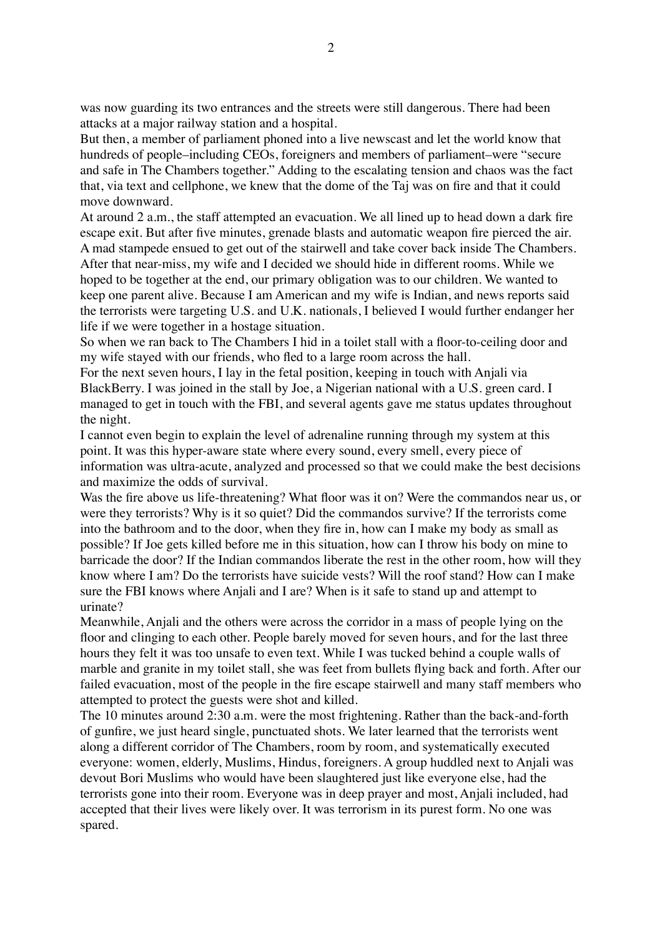was now guarding its two entrances and the streets were still dangerous. There had been attacks at a major railway station and a hospital.

But then, a member of parliament phoned into a live newscast and let the world know that hundreds of people–including CEOs, foreigners and members of parliament–were "secure and safe in The Chambers together." Adding to the escalating tension and chaos was the fact that, via text and cellphone, we knew that the dome of the Taj was on fire and that it could move downward.

At around 2 a.m., the staff attempted an evacuation. We all lined up to head down a dark fire escape exit. But after five minutes, grenade blasts and automatic weapon fire pierced the air. A mad stampede ensued to get out of the stairwell and take cover back inside The Chambers. After that near-miss, my wife and I decided we should hide in different rooms. While we hoped to be together at the end, our primary obligation was to our children. We wanted to keep one parent alive. Because I am American and my wife is Indian, and news reports said the terrorists were targeting U.S. and U.K. nationals, I believed I would further endanger her life if we were together in a hostage situation.

So when we ran back to The Chambers I hid in a toilet stall with a floor-to-ceiling door and my wife stayed with our friends, who fled to a large room across the hall.

For the next seven hours, I lay in the fetal position, keeping in touch with Anjali via BlackBerry. I was joined in the stall by Joe, a Nigerian national with a U.S. green card. I managed to get in touch with the FBI, and several agents gave me status updates throughout the night.

I cannot even begin to explain the level of adrenaline running through my system at this point. It was this hyper-aware state where every sound, every smell, every piece of information was ultra-acute, analyzed and processed so that we could make the best decisions and maximize the odds of survival.

Was the fire above us life-threatening? What floor was it on? Were the commandos near us, or were they terrorists? Why is it so quiet? Did the commandos survive? If the terrorists come into the bathroom and to the door, when they fire in, how can I make my body as small as possible? If Joe gets killed before me in this situation, how can I throw his body on mine to barricade the door? If the Indian commandos liberate the rest in the other room, how will they know where I am? Do the terrorists have suicide vests? Will the roof stand? How can I make sure the FBI knows where Anjali and I are? When is it safe to stand up and attempt to urinate?

Meanwhile, Anjali and the others were across the corridor in a mass of people lying on the floor and clinging to each other. People barely moved for seven hours, and for the last three hours they felt it was too unsafe to even text. While I was tucked behind a couple walls of marble and granite in my toilet stall, she was feet from bullets flying back and forth. After our failed evacuation, most of the people in the fire escape stairwell and many staff members who attempted to protect the guests were shot and killed.

The 10 minutes around 2:30 a.m. were the most frightening. Rather than the back-and-forth of gunfire, we just heard single, punctuated shots. We later learned that the terrorists went along a different corridor of The Chambers, room by room, and systematically executed everyone: women, elderly, Muslims, Hindus, foreigners. A group huddled next to Anjali was devout Bori Muslims who would have been slaughtered just like everyone else, had the terrorists gone into their room. Everyone was in deep prayer and most, Anjali included, had accepted that their lives were likely over. It was terrorism in its purest form. No one was spared.